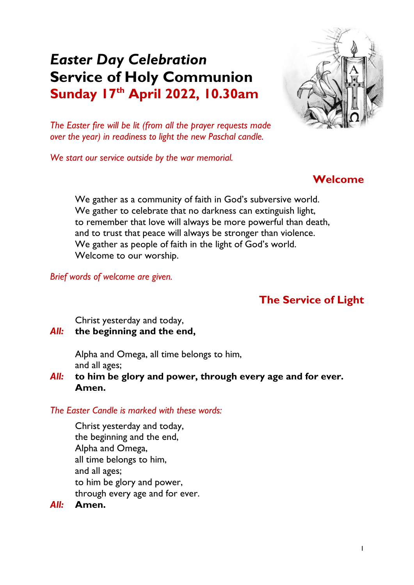# *Easter Day Celebration* **Service of Holy Communion Sunday 17th April 2022, 10.30am**



*The Easter fire will be lit (from all the prayer requests made over the year) in readiness to light the new Paschal candle.*

*We start our service outside by the war memorial.*

## **Welcome**

We gather as a community of faith in God's subversive world. We gather to celebrate that no darkness can extinguish light, to remember that love will always be more powerful than death, and to trust that peace will always be stronger than violence. We gather as people of faith in the light of God's world. Welcome to our worship.

*Brief words of welcome are given.*

## **The Service of Light**

Christ yesterday and today,

*All:* **the beginning and the end,**

Alpha and Omega, all time belongs to him, and all ages;

*All:* **to him be glory and power, through every age and for ever. Amen.**

*The Easter Candle is marked with these words:*

Christ yesterday and today, the beginning and the end, Alpha and Omega, all time belongs to him, and all ages; to him be glory and power, through every age and for ever.

#### *All:* **Amen.**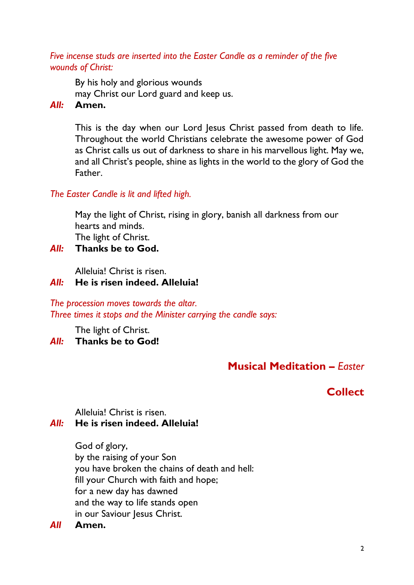#### *Five incense studs are inserted into the Easter Candle as a reminder of the five wounds of Christ:*

By his holy and glorious wounds may Christ our Lord guard and keep us.

#### *All:* **Amen.**

This is the day when our Lord Jesus Christ passed from death to life. Throughout the world Christians celebrate the awesome power of God as Christ calls us out of darkness to share in his marvellous light. May we, and all Christ's people, shine as lights in the world to the glory of God the Father.

### *The Easter Candle is lit and lifted high.*

May the light of Christ, rising in glory, banish all darkness from our hearts and minds. The light of Christ.

*All:* **Thanks be to God.**

Alleluia! Christ is risen.

### *All:* **He is risen indeed. Alleluia!**

#### *The procession moves towards the altar. Three times it stops and the Minister carrying the candle says:*

The light of Christ. *All:* **Thanks be to God!** 

## **Musical Meditation –** *Easter*

## **Collect**

Alleluia! Christ is risen.

## *All:* **He is risen indeed. Alleluia!**

God of glory, by the raising of your Son you have broken the chains of death and hell: fill your Church with faith and hope; for a new day has dawned and the way to life stands open in our Saviour Jesus Christ.

### *All* **Amen.**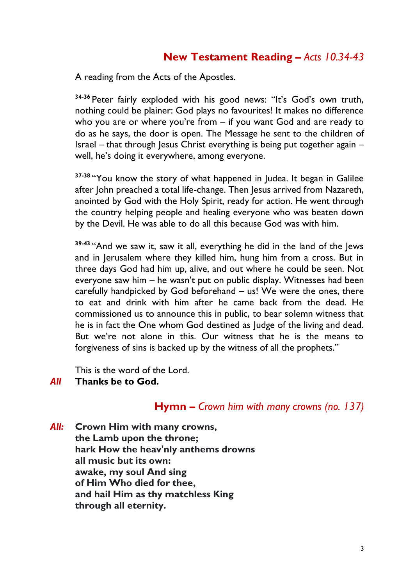## **New Testament Reading** *– Acts 10.34-43*

A reading from the Acts of the Apostles.

**34-36** Peter fairly exploded with his good news: "It's God's own truth, nothing could be plainer: God plays no favourites! It makes no difference who you are or where you're from – if you want God and are ready to do as he says, the door is open. The Message he sent to the children of Israel – that through Jesus Christ everything is being put together again – well, he's doing it everywhere, among everyone.

**37-38** "You know the story of what happened in Judea. It began in Galilee after John preached a total life-change. Then Jesus arrived from Nazareth, anointed by God with the Holy Spirit, ready for action. He went through the country helping people and healing everyone who was beaten down by the Devil. He was able to do all this because God was with him.

**39-43** "And we saw it, saw it all, everything he did in the land of the Jews and in Jerusalem where they killed him, hung him from a cross. But in three days God had him up, alive, and out where he could be seen. Not everyone saw him – he wasn't put on public display. Witnesses had been carefully handpicked by God beforehand – us! We were the ones, there to eat and drink with him after he came back from the dead. He commissioned us to announce this in public, to bear solemn witness that he is in fact the One whom God destined as Judge of the living and dead. But we're not alone in this. Our witness that he is the means to forgiveness of sins is backed up by the witness of all the prophets."

This is the word of the Lord.

#### *All* **Thanks be to God.**

#### **Hymn –** *Crown him with many crowns (no. 137)*

*All:* **Crown Him with many crowns, the Lamb upon the throne; hark How the heav'nly anthems drowns all music but its own: awake, my soul And sing of Him Who died for thee, and hail Him as thy matchless King through all eternity.**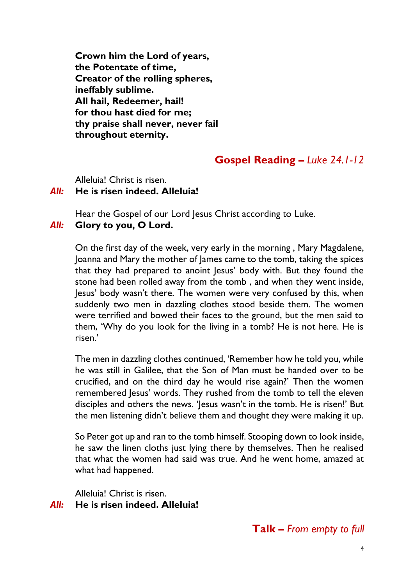**Crown him the Lord of years, the Potentate of time, Creator of the rolling spheres, ineffably sublime. All hail, Redeemer, hail! for thou hast died for me; thy praise shall never, never fail throughout eternity.**

## **Gospel Reading** *– Luke 24.1-12*

Alleluia! Christ is risen.

#### *All:* **He is risen indeed. Alleluia!**

Hear the Gospel of our Lord Jesus Christ according to Luke. *All:* **Glory to you, O Lord.**

On the first day of the week, very early in the morning , Mary Magdalene, Joanna and Mary the mother of James came to the tomb, taking the spices that they had prepared to anoint Jesus' body with. But they found the stone had been rolled away from the tomb , and when they went inside, Jesus' body wasn't there. The women were very confused by this, when suddenly two men in dazzling clothes stood beside them. The women were terrified and bowed their faces to the ground, but the men said to them, 'Why do you look for the living in a tomb? He is not here. He is risen.'

The men in dazzling clothes continued, 'Remember how he told you, while he was still in Galilee, that the Son of Man must be handed over to be crucified, and on the third day he would rise again?' Then the women remembered Jesus' words. They rushed from the tomb to tell the eleven disciples and others the news. 'Jesus wasn't in the tomb. He is risen!' But the men listening didn't believe them and thought they were making it up.

So Peter got up and ran to the tomb himself. Stooping down to look inside, he saw the linen cloths just lying there by themselves. Then he realised that what the women had said was true. And he went home, amazed at what had happened.

Alleluia! Christ is risen.

#### *All:* **He is risen indeed. Alleluia!**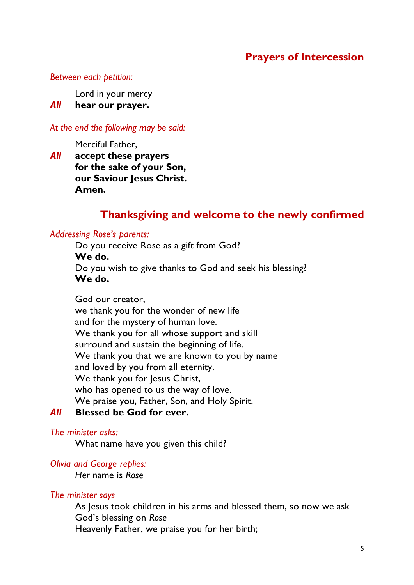## **Prayers of Intercession**

#### *Between each petition:*

Lord in your mercy

*All* **hear our prayer.**

*At the end the following may be said:*

Merciful Father,

*All* **accept these prayers for the sake of your Son, our Saviour Jesus Christ. Amen.**

### **Thanksgiving and welcome to the newly confirmed**

#### *Addressing Rose's parents:*

Do you receive Rose as a gift from God? **We do.** Do you wish to give thanks to God and seek his blessing? **We do.**

God our creator, we thank you for the wonder of new life and for the mystery of human love. We thank you for all whose support and skill surround and sustain the beginning of life. We thank you that we are known to you by name and loved by you from all eternity. We thank you for Jesus Christ, who has opened to us the way of love. We praise you, Father, Son, and Holy Spirit.

## *All* **Blessed be God for ever.**

#### *The minister asks:*

What name have you given this child?

#### *Olivia and George replies:*

*Her* name is *Rose*

#### *The minister says*

As Jesus took children in his arms and blessed them, so now we ask God's blessing on *Rose* Heavenly Father, we praise you for her birth;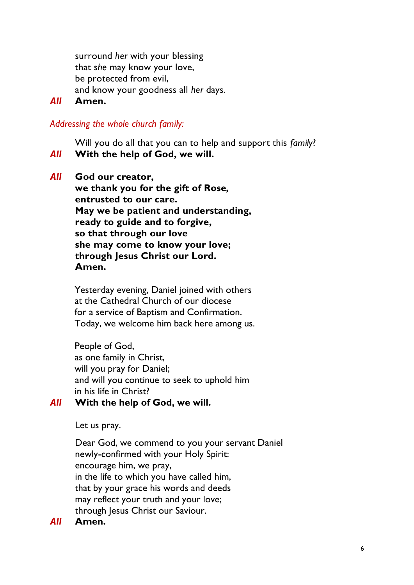surround *her* with your blessing that s*he* may know your love, be protected from evil, and know your goodness all *her* days.

#### *All* **Amen.**

#### *Addressing the whole church family:*

Will you do all that you can to help and support this *family*?

*All* **With the help of God, we will.**

*All* **God our creator,**

**we thank you for the gift of Rose***,* **entrusted to our care. May we be patient and understanding, ready to guide and to forgive, so that through our love she may come to know your love; through Jesus Christ our Lord. Amen.**

Yesterday evening, Daniel joined with others at the Cathedral Church of our diocese for a service of Baptism and Confirmation. Today, we welcome him back here among us.

People of God, as one family in Christ, will you pray for Daniel; and will you continue to seek to uphold him in his life in Christ?

#### *All* **With the help of God, we will.**

Let us pray.

Dear God, we commend to you your servant Daniel newly-confirmed with your Holy Spirit: encourage him, we pray, in the life to which you have called him, that by your grace his words and deeds may reflect your truth and your love; through Jesus Christ our Saviour.

#### *All* **Amen.**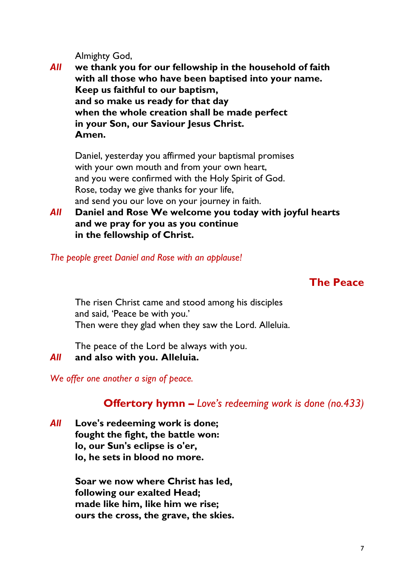Almighty God,

*All* **we thank you for our fellowship in the household of faith with all those who have been baptised into your name. Keep us faithful to our baptism, and so make us ready for that day when the whole creation shall be made perfect in your Son, our Saviour Jesus Christ. Amen.**

Daniel, yesterday you affirmed your baptismal promises with your own mouth and from your own heart, and you were confirmed with the Holy Spirit of God. Rose, today we give thanks for your life, and send you our love on your journey in faith.

*All* **Daniel and Rose We welcome you today with joyful hearts and we pray for you as you continue in the fellowship of Christ.**

*The people greet Daniel and Rose with an applause!*

### **The Peace**

The risen Christ came and stood among his disciples and said, 'Peace be with you.' Then were they glad when they saw the Lord. Alleluia.

The peace of the Lord be always with you.

*All* **and also with you. Alleluia.**

*We offer one another a sign of peace.*

## **Offertory hymn –** *Love's redeeming work is done (no.433)*

*All* **Love's redeeming work is done; fought the fight, the battle won: lo, our Sun's eclipse is o'er, lo, he sets in blood no more.**

> **Soar we now where Christ has led, following our exalted Head; made like him, like him we rise; ours the cross, the grave, the skies.**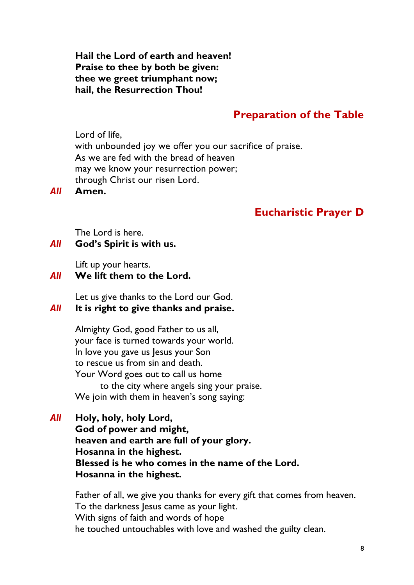**Hail the Lord of earth and heaven! Praise to thee by both be given: thee we greet triumphant now; hail, the Resurrection Thou!**

## **Preparation of the Table**

Lord of life, with unbounded joy we offer you our sacrifice of praise. As we are fed with the bread of heaven may we know your resurrection power; through Christ our risen Lord.

*All* **Amen.**

## **Eucharistic Prayer D**

The Lord is here.

#### *All* **God's Spirit is with us.**

Lift up your hearts.

#### *All* **We lift them to the Lord.**

Let us give thanks to the Lord our God.

## *All* **It is right to give thanks and praise.**

Almighty God, good Father to us all, your face is turned towards your world. In love you gave us Jesus your Son to rescue us from sin and death. Your Word goes out to call us home to the city where angels sing your praise. We join with them in heaven's song saying:

*All* **Holy, holy, holy Lord, God of power and might, heaven and earth are full of your glory.**

**Hosanna in the highest. Blessed is he who comes in the name of the Lord. Hosanna in the highest.**

Father of all, we give you thanks for every gift that comes from heaven. To the darkness Jesus came as your light. With signs of faith and words of hope he touched untouchables with love and washed the guilty clean.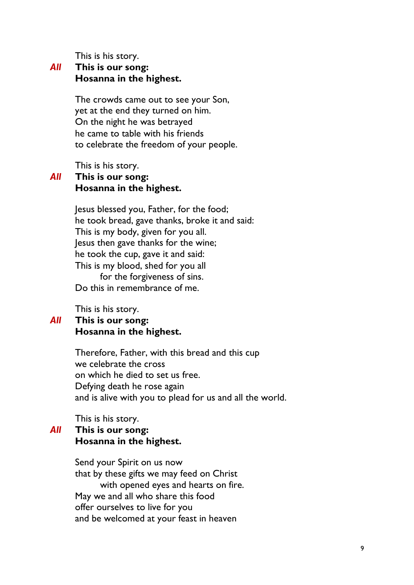This is his story.

#### *All* **This is our song: Hosanna in the highest.**

The crowds came out to see your Son, yet at the end they turned on him. On the night he was betrayed he came to table with his friends to celebrate the freedom of your people.

This is his story.

#### *All* **This is our song: Hosanna in the highest.**

Jesus blessed you, Father, for the food; he took bread, gave thanks, broke it and said: This is my body, given for you all. Jesus then gave thanks for the wine; he took the cup, gave it and said: This is my blood, shed for you all for the forgiveness of sins. Do this in remembrance of me.

This is his story.

#### *All* **This is our song: Hosanna in the highest.**

Therefore, Father, with this bread and this cup we celebrate the cross on which he died to set us free. Defying death he rose again and is alive with you to plead for us and all the world.

This is his story.

## *All* **This is our song: Hosanna in the highest.**

Send your Spirit on us now that by these gifts we may feed on Christ with opened eyes and hearts on fire. May we and all who share this food offer ourselves to live for you and be welcomed at your feast in heaven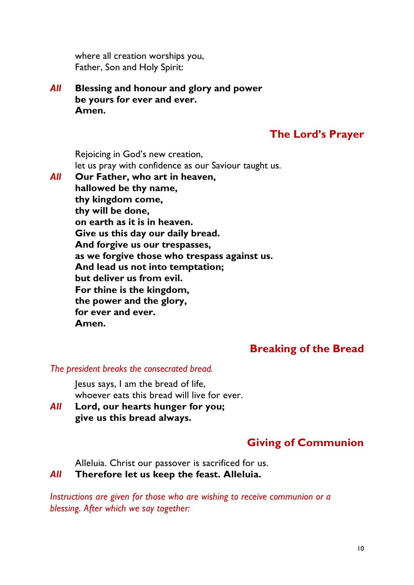where all creation worships you, Father, Son and Holy Spirit:

*All* **Blessing and honour and glory and power be yours for ever and ever. Amen.**

## **The Lord's Prayer**

Rejoicing in God's new creation, let us pray with confidence as our Saviour taught us.

*All* **Our Father, who art in heaven, hallowed be thy name, thy kingdom come, thy will be done, on earth as it is in heaven. Give us this day our daily bread. And forgive us our trespasses, as we forgive those who trespass against us. And lead us not into temptation; but deliver us from evil. For thine is the kingdom, the power and the glory, for ever and ever. Amen.**

## **Breaking of the Bread**

#### *The president breaks the consecrated bread.*

Jesus says, I am the bread of life, whoever eats this bread will live for ever.

*All* **Lord, our hearts hunger for you; give us this bread always.**

## **Giving of Communion**

Alleluia. Christ our passover is sacrificed for us.

#### *All* **Therefore let us keep the feast. Alleluia.**

*Instructions are given for those who are wishing to receive communion or a blessing. After which we say together:*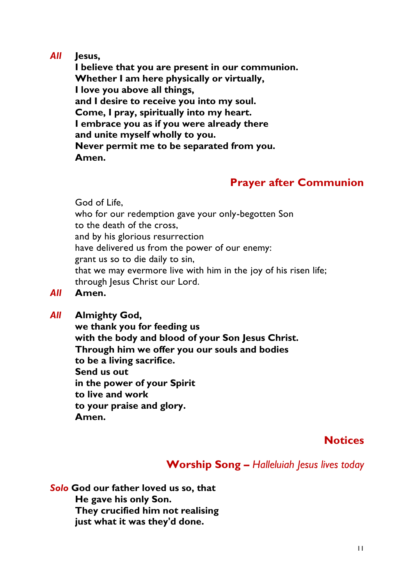#### *All* **Jesus,**

**I believe that you are present in our communion. Whether I am here physically or virtually, I love you above all things, and I desire to receive you into my soul. Come, I pray, spiritually into my heart. I embrace you as if you were already there and unite myself wholly to you. Never permit me to be separated from you. Amen.**

## **Prayer after Communion**

God of Life,

who for our redemption gave your only-begotten Son to the death of the cross, and by his glorious resurrection have delivered us from the power of our enemy: grant us so to die daily to sin, that we may evermore live with him in the joy of his risen life; through Jesus Christ our Lord.

- *All* **Amen.**
- *All* **Almighty God,**

**we thank you for feeding us with the body and blood of your Son Jesus Christ. Through him we offer you our souls and bodies to be a living sacrifice. Send us out in the power of your Spirit to live and work to your praise and glory. Amen.**

### **Notices**

## **Worship Song –** *Halleluiah Jesus lives today*

*Solo* **God our father loved us so, that He gave his only Son. They crucified him not realising just what it was they'd done.**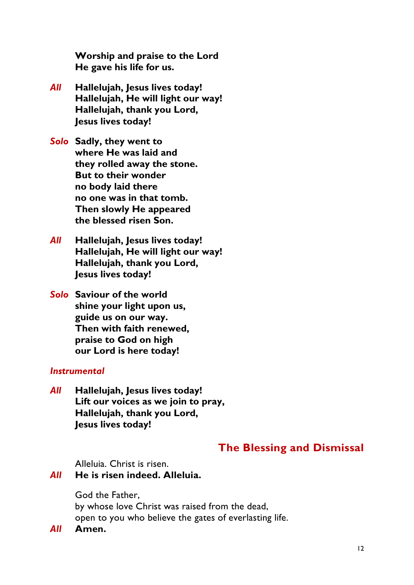**Worship and praise to the Lord He gave his life for us.**

- *All* **Hallelujah, Jesus lives today! Hallelujah, He will light our way! Hallelujah, thank you Lord, Jesus lives today!**
- *Solo* **Sadly, they went to where He was laid and they rolled away the stone. But to their wonder no body laid there no one was in that tomb. Then slowly He appeared the blessed risen Son.**
- *All* **Hallelujah, Jesus lives today! Hallelujah, He will light our way! Hallelujah, thank you Lord, Jesus lives today!**

*Solo* **Saviour of the world shine your light upon us, guide us on our way. Then with faith renewed, praise to God on high our Lord is here today!**

#### *Instrumental*

*All* **Hallelujah, Jesus lives today! Lift our voices as we join to pray, Hallelujah, thank you Lord, Jesus lives today!**

## **The Blessing and Dismissal**

Alleluia. Christ is risen.

*All* **He is risen indeed. Alleluia.**

God the Father, by whose love Christ was raised from the dead, open to you who believe the gates of everlasting life.

*All* **Amen.**